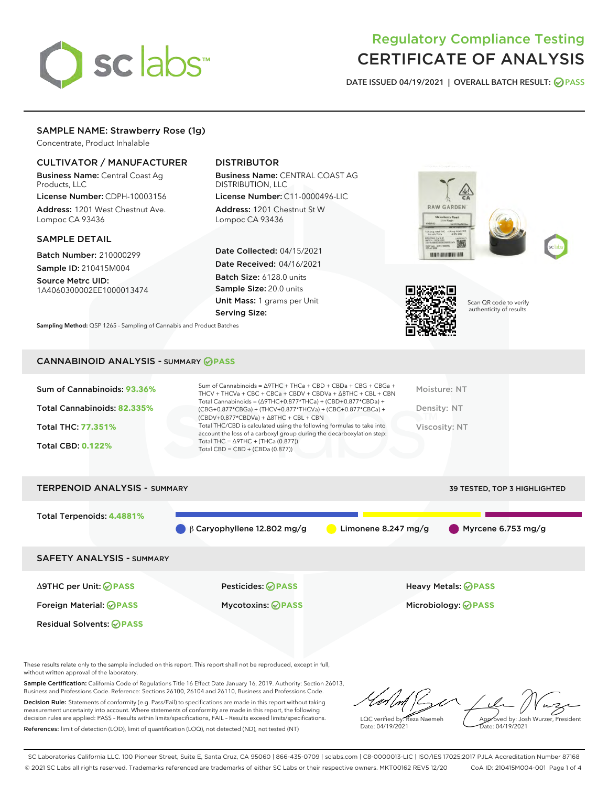# sclabs

# Regulatory Compliance Testing CERTIFICATE OF ANALYSIS

DATE ISSUED 04/19/2021 | OVERALL BATCH RESULT: @ PASS

# SAMPLE NAME: Strawberry Rose (1g)

Concentrate, Product Inhalable

# CULTIVATOR / MANUFACTURER

Business Name: Central Coast Ag Products, LLC

License Number: CDPH-10003156 Address: 1201 West Chestnut Ave. Lompoc CA 93436

#### SAMPLE DETAIL

Batch Number: 210000299 Sample ID: 210415M004

Source Metrc UID: 1A4060300002EE1000013474

# DISTRIBUTOR

Business Name: CENTRAL COAST AG DISTRIBUTION, LLC

License Number: C11-0000496-LIC Address: 1201 Chestnut St W Lompoc CA 93436

Date Collected: 04/15/2021 Date Received: 04/16/2021 Batch Size: 6128.0 units Sample Size: 20.0 units Unit Mass: 1 grams per Unit Serving Size:

Sampling Method: QSP 1265 - Sampling of Cannabis and Product Batches





Scan QR code to verify authenticity of results.

#### CANNABINOID ANALYSIS - SUMMARY **PASS**

| Sum of Cannabinoids: 93.36%<br>Total Cannabinoids: 82.335%<br><b>Total THC: 77.351%</b><br><b>Total CBD: 0.122%</b> | Sum of Cannabinoids = $\triangle$ 9THC + THCa + CBD + CBDa + CBG + CBGa +<br>THCV + THCVa + CBC + CBCa + CBDV + CBDVa + $\Delta$ 8THC + CBL + CBN<br>Total Cannabinoids = $(\Delta$ 9THC+0.877*THCa) + (CBD+0.877*CBDa) +<br>$(CBG+0.877*CBGa) + (THCV+0.877*THCVa) + (CBC+0.877*CBCa) +$<br>$(CBDV+0.877*CBDVa) + \Delta 8THC + CBL + CBN$<br>Total THC/CBD is calculated using the following formulas to take into<br>account the loss of a carboxyl group during the decarboxylation step:<br>Total THC = $\triangle$ 9THC + (THCa (0.877))<br>Total CBD = $CBD + (CBDa (0.877))$ | Moisture: NT<br>Density: NT<br>Viscositv: NT |
|---------------------------------------------------------------------------------------------------------------------|--------------------------------------------------------------------------------------------------------------------------------------------------------------------------------------------------------------------------------------------------------------------------------------------------------------------------------------------------------------------------------------------------------------------------------------------------------------------------------------------------------------------------------------------------------------------------------------|----------------------------------------------|
| <b>TERPENOID ANALYSIS - SUMMARY</b>                                                                                 |                                                                                                                                                                                                                                                                                                                                                                                                                                                                                                                                                                                      | <b>39 TESTED, TOP 3 HIGHLIGHTED</b>          |



These results relate only to the sample included on this report. This report shall not be reproduced, except in full, without written approval of the laboratory.

Sample Certification: California Code of Regulations Title 16 Effect Date January 16, 2019. Authority: Section 26013, Business and Professions Code. Reference: Sections 26100, 26104 and 26110, Business and Professions Code.

Decision Rule: Statements of conformity (e.g. Pass/Fail) to specifications are made in this report without taking measurement uncertainty into account. Where statements of conformity are made in this report, the following decision rules are applied: PASS – Results within limits/specifications, FAIL – Results exceed limits/specifications. References: limit of detection (LOD), limit of quantification (LOQ), not detected (ND), not tested (NT)

LQC verified by: Reza Naemeh Date: 04/19/2021 Approved by: Josh Wurzer, President Date: 04/19/2021

SC Laboratories California LLC. 100 Pioneer Street, Suite E, Santa Cruz, CA 95060 | 866-435-0709 | sclabs.com | C8-0000013-LIC | ISO/IES 17025:2017 PJLA Accreditation Number 87168 © 2021 SC Labs all rights reserved. Trademarks referenced are trademarks of either SC Labs or their respective owners. MKT00162 REV5 12/20 CoA ID: 210415M004-001 Page 1 of 4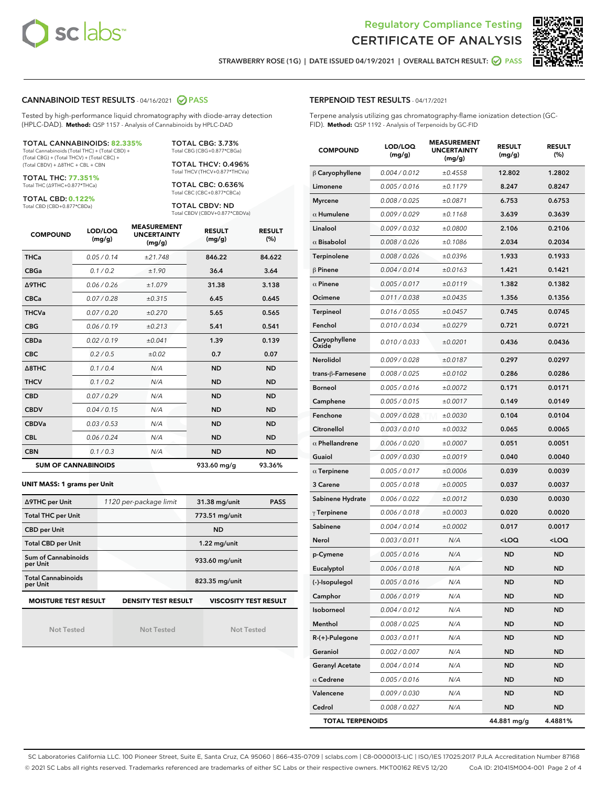



STRAWBERRY ROSE (1G) | DATE ISSUED 04/19/2021 | OVERALL BATCH RESULT: @ PASS

#### CANNABINOID TEST RESULTS - 04/16/2021 2 PASS

Tested by high-performance liquid chromatography with diode-array detection (HPLC-DAD). **Method:** QSP 1157 - Analysis of Cannabinoids by HPLC-DAD

#### TOTAL CANNABINOIDS: **82.335%**

Total Cannabinoids (Total THC) + (Total CBD) + (Total CBG) + (Total THCV) + (Total CBC) + (Total CBDV) + ∆8THC + CBL + CBN

TOTAL THC: **77.351%** Total THC (∆9THC+0.877\*THCa)

TOTAL CBD: **0.122%**

Total CBD (CBD+0.877\*CBDa)

TOTAL CBG: 3.73% Total CBG (CBG+0.877\*CBGa)

TOTAL THCV: 0.496% Total THCV (THCV+0.877\*THCVa)

TOTAL CBC: 0.636% Total CBC (CBC+0.877\*CBCa)

TOTAL CBDV: ND Total CBDV (CBDV+0.877\*CBDVa)

| <b>COMPOUND</b>            | LOD/LOQ<br>(mg/g) | <b>MEASUREMENT</b><br><b>UNCERTAINTY</b><br>(mg/g) | <b>RESULT</b><br>(mg/g) | <b>RESULT</b><br>(%) |
|----------------------------|-------------------|----------------------------------------------------|-------------------------|----------------------|
| <b>THCa</b>                | 0.05/0.14         | ±21.748                                            | 846.22                  | 84.622               |
| <b>CBGa</b>                | 0.1/0.2           | ±1.90                                              | 36.4                    | 3.64                 |
| <b>A9THC</b>               | 0.06 / 0.26       | ±1.079                                             | 31.38                   | 3.138                |
| <b>CBCa</b>                | 0.07 / 0.28       | ±0.315                                             | 6.45                    | 0.645                |
| <b>THCVa</b>               | 0.07/0.20         | ±0.270                                             | 5.65                    | 0.565                |
| <b>CBG</b>                 | 0.06/0.19         | ±0.213                                             | 5.41                    | 0.541                |
| <b>CBDa</b>                | 0.02 / 0.19       | ±0.041                                             | 1.39                    | 0.139                |
| <b>CBC</b>                 | 0.2 / 0.5         | ±0.02                                              | 0.7                     | 0.07                 |
| $\triangle$ 8THC           | 0.1/0.4           | N/A                                                | <b>ND</b>               | <b>ND</b>            |
| <b>THCV</b>                | 0.1 / 0.2         | N/A                                                | <b>ND</b>               | <b>ND</b>            |
| <b>CBD</b>                 | 0.07/0.29         | N/A                                                | <b>ND</b>               | <b>ND</b>            |
| <b>CBDV</b>                | 0.04/0.15         | N/A                                                | <b>ND</b>               | <b>ND</b>            |
| <b>CBDVa</b>               | 0.03/0.53         | N/A                                                | <b>ND</b>               | <b>ND</b>            |
| <b>CBL</b>                 | 0.06 / 0.24       | N/A                                                | <b>ND</b>               | <b>ND</b>            |
| <b>CBN</b>                 | 0.1/0.3           | N/A                                                | <b>ND</b>               | <b>ND</b>            |
| <b>SUM OF CANNABINOIDS</b> |                   |                                                    | 933.60 mg/g             | 93.36%               |

#### **UNIT MASS: 1 grams per Unit**

| ∆9THC per Unit                        | 1120 per-package limit | 31.38 mg/unit<br><b>PASS</b> |
|---------------------------------------|------------------------|------------------------------|
| <b>Total THC per Unit</b>             |                        | 773.51 mg/unit               |
| <b>CBD per Unit</b>                   |                        | <b>ND</b>                    |
| <b>Total CBD per Unit</b>             |                        | $1.22$ mg/unit               |
| Sum of Cannabinoids<br>per Unit       |                        | 933.60 mg/unit               |
| <b>Total Cannabinoids</b><br>per Unit |                        | 823.35 mg/unit               |
| <b>MOISTURE TEST RESULT</b>           | DENSITY TEST RESULT    | <b>VISCOSITY TEST RESULT</b> |

Not Tested

**MOISTURE TEST RESULT**

Not Tested

Not Tested

#### TERPENOID TEST RESULTS - 04/17/2021

Terpene analysis utilizing gas chromatography-flame ionization detection (GC-FID). **Method:** QSP 1192 - Analysis of Terpenoids by GC-FID

| <b>COMPOUND</b>         | LOD/LOQ<br>(mg/g) | <b>MEASUREMENT</b><br><b>UNCERTAINTY</b><br>(mg/g) | <b>RESULT</b><br>(mg/g)                          | <b>RESULT</b><br>$(\%)$ |
|-------------------------|-------------------|----------------------------------------------------|--------------------------------------------------|-------------------------|
| $\beta$ Caryophyllene   | 0.004 / 0.012     | ±0.4558                                            | 12.802                                           | 1.2802                  |
| Limonene                | 0.005 / 0.016     | ±0.1179                                            | 8.247                                            | 0.8247                  |
| <b>Myrcene</b>          | 0.008 / 0.025     | ±0.0871                                            | 6.753                                            | 0.6753                  |
| $\alpha$ Humulene       | 0.009/0.029       | ±0.1168                                            | 3.639                                            | 0.3639                  |
| Linalool                | 0.009 / 0.032     | ±0.0800                                            | 2.106                                            | 0.2106                  |
| $\alpha$ Bisabolol      | 0.008 / 0.026     | ±0.1086                                            | 2.034                                            | 0.2034                  |
| Terpinolene             | 0.008 / 0.026     | ±0.0396                                            | 1.933                                            | 0.1933                  |
| $\beta$ Pinene          | 0.004 / 0.014     | ±0.0163                                            | 1.421                                            | 0.1421                  |
| $\alpha$ Pinene         | 0.005 / 0.017     | ±0.0119                                            | 1.382                                            | 0.1382                  |
| Ocimene                 | 0.011 / 0.038     | ±0.0435                                            | 1.356                                            | 0.1356                  |
| Terpineol               | 0.016 / 0.055     | ±0.0457                                            | 0.745                                            | 0.0745                  |
| Fenchol                 | 0.010 / 0.034     | ±0.0279                                            | 0.721                                            | 0.0721                  |
| Caryophyllene<br>Oxide  | 0.010 / 0.033     | ±0.0201                                            | 0.436                                            | 0.0436                  |
| Nerolidol               | 0.009 / 0.028     | ±0.0187                                            | 0.297                                            | 0.0297                  |
| trans-β-Farnesene       | 0.008 / 0.025     | ±0.0102                                            | 0.286                                            | 0.0286                  |
| <b>Borneol</b>          | 0.005 / 0.016     | ±0.0072                                            | 0.171                                            | 0.0171                  |
| Camphene                | 0.005 / 0.015     | ±0.0017                                            | 0.149                                            | 0.0149                  |
| Fenchone                | 0.009 / 0.028     | ±0.0030                                            | 0.104                                            | 0.0104                  |
| Citronellol             | 0.003 / 0.010     | ±0.0032                                            | 0.065                                            | 0.0065                  |
| $\alpha$ Phellandrene   | 0.006 / 0.020     | ±0.0007                                            | 0.051                                            | 0.0051                  |
| Guaiol                  | 0.009 / 0.030     | ±0.0019                                            | 0.040                                            | 0.0040                  |
| $\alpha$ Terpinene      | 0.005 / 0.017     | ±0.0006                                            | 0.039                                            | 0.0039                  |
| 3 Carene                | 0.005 / 0.018     | ±0.0005                                            | 0.037                                            | 0.0037                  |
| Sabinene Hydrate        | 0.006 / 0.022     | ±0.0012                                            | 0.030                                            | 0.0030                  |
| $\gamma$ Terpinene      | 0.006 / 0.018     | ±0.0003                                            | 0.020                                            | 0.0020                  |
| Sabinene                | 0.004 / 0.014     | ±0.0002                                            | 0.017                                            | 0.0017                  |
| Nerol                   | 0.003 / 0.011     | N/A                                                | <loq< th=""><th><math>&lt;</math>LOQ</th></loq<> | $<$ LOQ                 |
| p-Cymene                | 0.005 / 0.016     | N/A                                                | <b>ND</b>                                        | <b>ND</b>               |
| Eucalyptol              | 0.006 / 0.018     | N/A                                                | ND                                               | <b>ND</b>               |
| (-)-Isopulegol          | 0.005 / 0.016     | N/A                                                | ND                                               | ND                      |
| Camphor                 | 0.006 / 0.019     | N/A                                                | ND                                               | ND                      |
| Isoborneol              | 0.004 / 0.012     | N/A                                                | ND                                               | ND                      |
| Menthol                 | 0.008 / 0.025     | N/A                                                | ND                                               | ND                      |
| R-(+)-Pulegone          | 0.003 / 0.011     | N/A                                                | ND                                               | <b>ND</b>               |
| Geraniol                | 0.002 / 0.007     | N/A                                                | ND                                               | ND                      |
| <b>Geranyl Acetate</b>  | 0.004 / 0.014     | N/A                                                | ND                                               | ND                      |
| $\alpha$ Cedrene        | 0.005 / 0.016     | N/A                                                | ND                                               | ND                      |
| Valencene               | 0.009 / 0.030     | N/A                                                | ND                                               | ND                      |
| Cedrol                  | 0.008 / 0.027     | N/A                                                | ND                                               | <b>ND</b>               |
| <b>TOTAL TERPENOIDS</b> |                   | 44.881 mg/g                                        | 4.4881%                                          |                         |

SC Laboratories California LLC. 100 Pioneer Street, Suite E, Santa Cruz, CA 95060 | 866-435-0709 | sclabs.com | C8-0000013-LIC | ISO/IES 17025:2017 PJLA Accreditation Number 87168 © 2021 SC Labs all rights reserved. Trademarks referenced are trademarks of either SC Labs or their respective owners. MKT00162 REV5 12/20 CoA ID: 210415M004-001 Page 2 of 4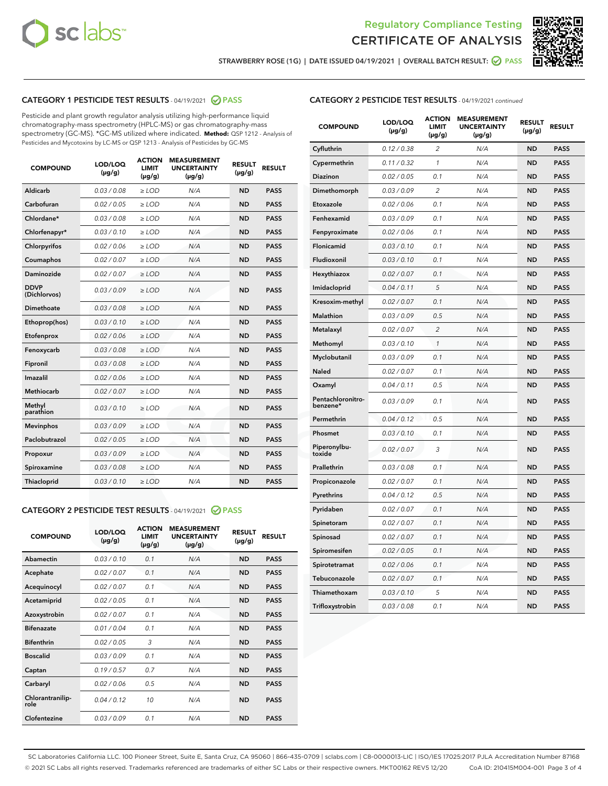



STRAWBERRY ROSE (1G) | DATE ISSUED 04/19/2021 | OVERALL BATCH RESULT: @ PASS

# CATEGORY 1 PESTICIDE TEST RESULTS - 04/19/2021 @ PASS

Pesticide and plant growth regulator analysis utilizing high-performance liquid chromatography-mass spectrometry (HPLC-MS) or gas chromatography-mass spectrometry (GC-MS). \*GC-MS utilized where indicated. **Method:** QSP 1212 - Analysis of Pesticides and Mycotoxins by LC-MS or QSP 1213 - Analysis of Pesticides by GC-MS

| <b>COMPOUND</b>             | LOD/LOQ<br>$(\mu g/g)$ | <b>ACTION</b><br><b>LIMIT</b><br>$(\mu g/g)$ | <b>MEASUREMENT</b><br><b>UNCERTAINTY</b><br>$(\mu g/g)$ | <b>RESULT</b><br>$(\mu g/g)$ | <b>RESULT</b> |
|-----------------------------|------------------------|----------------------------------------------|---------------------------------------------------------|------------------------------|---------------|
| Aldicarb                    | 0.03 / 0.08            | $\geq$ LOD                                   | N/A                                                     | <b>ND</b>                    | <b>PASS</b>   |
| Carbofuran                  | 0.02/0.05              | $>$ LOD                                      | N/A                                                     | <b>ND</b>                    | <b>PASS</b>   |
| Chlordane*                  | 0.03 / 0.08            | $\ge$ LOD                                    | N/A                                                     | <b>ND</b>                    | <b>PASS</b>   |
| Chlorfenapyr*               | 0.03/0.10              | $>$ LOD                                      | N/A                                                     | <b>ND</b>                    | <b>PASS</b>   |
| Chlorpyrifos                | 0.02 / 0.06            | $\ge$ LOD                                    | N/A                                                     | <b>ND</b>                    | <b>PASS</b>   |
| Coumaphos                   | 0.02 / 0.07            | $\ge$ LOD                                    | N/A                                                     | <b>ND</b>                    | <b>PASS</b>   |
| Daminozide                  | 0.02 / 0.07            | $\ge$ LOD                                    | N/A                                                     | <b>ND</b>                    | <b>PASS</b>   |
| <b>DDVP</b><br>(Dichlorvos) | 0.03/0.09              | $\ge$ LOD                                    | N/A                                                     | <b>ND</b>                    | <b>PASS</b>   |
| Dimethoate                  | 0.03/0.08              | $>$ LOD                                      | N/A                                                     | <b>ND</b>                    | <b>PASS</b>   |
| Ethoprop(hos)               | 0.03/0.10              | $\ge$ LOD                                    | N/A                                                     | <b>ND</b>                    | <b>PASS</b>   |
| Etofenprox                  | 0.02 / 0.06            | $\ge$ LOD                                    | N/A                                                     | <b>ND</b>                    | <b>PASS</b>   |
| Fenoxycarb                  | 0.03 / 0.08            | $\ge$ LOD                                    | N/A                                                     | <b>ND</b>                    | <b>PASS</b>   |
| Fipronil                    | 0.03/0.08              | $>$ LOD                                      | N/A                                                     | <b>ND</b>                    | <b>PASS</b>   |
| Imazalil                    | 0.02 / 0.06            | $\ge$ LOD                                    | N/A                                                     | <b>ND</b>                    | <b>PASS</b>   |
| <b>Methiocarb</b>           | 0.02 / 0.07            | $\ge$ LOD                                    | N/A                                                     | <b>ND</b>                    | <b>PASS</b>   |
| Methyl<br>parathion         | 0.03/0.10              | $\ge$ LOD                                    | N/A                                                     | <b>ND</b>                    | <b>PASS</b>   |
| <b>Mevinphos</b>            | 0.03/0.09              | $>$ LOD                                      | N/A                                                     | <b>ND</b>                    | <b>PASS</b>   |
| Paclobutrazol               | 0.02 / 0.05            | $\ge$ LOD                                    | N/A                                                     | <b>ND</b>                    | <b>PASS</b>   |
| Propoxur                    | 0.03/0.09              | $\ge$ LOD                                    | N/A                                                     | <b>ND</b>                    | <b>PASS</b>   |
| Spiroxamine                 | 0.03 / 0.08            | $\ge$ LOD                                    | N/A                                                     | <b>ND</b>                    | <b>PASS</b>   |
| Thiacloprid                 | 0.03/0.10              | $\ge$ LOD                                    | N/A                                                     | <b>ND</b>                    | <b>PASS</b>   |

#### CATEGORY 2 PESTICIDE TEST RESULTS - 04/19/2021 @ PASS

| <b>COMPOUND</b>          | LOD/LOQ<br>$(\mu g/g)$ | <b>ACTION</b><br><b>LIMIT</b><br>$(\mu g/g)$ | <b>MEASUREMENT</b><br><b>UNCERTAINTY</b><br>$(\mu g/g)$ | <b>RESULT</b><br>$(\mu g/g)$ | <b>RESULT</b> |
|--------------------------|------------------------|----------------------------------------------|---------------------------------------------------------|------------------------------|---------------|
| Abamectin                | 0.03/0.10              | 0.1                                          | N/A                                                     | <b>ND</b>                    | <b>PASS</b>   |
| Acephate                 | 0.02/0.07              | 0.1                                          | N/A                                                     | <b>ND</b>                    | <b>PASS</b>   |
| Acequinocyl              | 0.02/0.07              | 0.1                                          | N/A                                                     | <b>ND</b>                    | <b>PASS</b>   |
| Acetamiprid              | 0.02/0.05              | 0.1                                          | N/A                                                     | <b>ND</b>                    | <b>PASS</b>   |
| Azoxystrobin             | 0.02/0.07              | 0.1                                          | N/A                                                     | <b>ND</b>                    | <b>PASS</b>   |
| <b>Bifenazate</b>        | 0.01/0.04              | 0.1                                          | N/A                                                     | <b>ND</b>                    | <b>PASS</b>   |
| <b>Bifenthrin</b>        | 0.02 / 0.05            | 3                                            | N/A                                                     | <b>ND</b>                    | <b>PASS</b>   |
| <b>Boscalid</b>          | 0.03/0.09              | 0.1                                          | N/A                                                     | <b>ND</b>                    | <b>PASS</b>   |
| Captan                   | 0.19/0.57              | 0.7                                          | N/A                                                     | <b>ND</b>                    | <b>PASS</b>   |
| Carbaryl                 | 0.02/0.06              | 0.5                                          | N/A                                                     | <b>ND</b>                    | <b>PASS</b>   |
| Chlorantranilip-<br>role | 0.04/0.12              | 10                                           | N/A                                                     | <b>ND</b>                    | <b>PASS</b>   |
| Clofentezine             | 0.03/0.09              | 0.1                                          | N/A                                                     | <b>ND</b>                    | <b>PASS</b>   |

# CATEGORY 2 PESTICIDE TEST RESULTS - 04/19/2021 continued

| <b>COMPOUND</b>               | LOD/LOQ<br>(µg/g) | <b>ACTION</b><br>LIMIT<br>$(\mu g/g)$ | <b>MEASUREMENT</b><br><b>UNCERTAINTY</b><br>$(\mu g/g)$ | <b>RESULT</b><br>(µg/g) | <b>RESULT</b> |
|-------------------------------|-------------------|---------------------------------------|---------------------------------------------------------|-------------------------|---------------|
| Cyfluthrin                    | 0.12 / 0.38       | $\overline{c}$                        | N/A                                                     | ND                      | <b>PASS</b>   |
| Cypermethrin                  | 0.11 / 0.32       | $\mathcal{I}$                         | N/A                                                     | ND                      | PASS          |
| <b>Diazinon</b>               | 0.02 / 0.05       | 0.1                                   | N/A                                                     | <b>ND</b>               | <b>PASS</b>   |
| Dimethomorph                  | 0.03 / 0.09       | $\overline{c}$                        | N/A                                                     | ND                      | <b>PASS</b>   |
| Etoxazole                     | 0.02 / 0.06       | 0.1                                   | N/A                                                     | ND                      | <b>PASS</b>   |
| Fenhexamid                    | 0.03 / 0.09       | 0.1                                   | N/A                                                     | <b>ND</b>               | <b>PASS</b>   |
| Fenpyroximate                 | 0.02 / 0.06       | 0.1                                   | N/A                                                     | <b>ND</b>               | <b>PASS</b>   |
| Flonicamid                    | 0.03 / 0.10       | 0.1                                   | N/A                                                     | ND                      | PASS          |
| Fludioxonil                   | 0.03 / 0.10       | 0.1                                   | N/A                                                     | ND                      | <b>PASS</b>   |
| Hexythiazox                   | 0.02 / 0.07       | 0.1                                   | N/A                                                     | ND                      | <b>PASS</b>   |
| Imidacloprid                  | 0.04 / 0.11       | 5                                     | N/A                                                     | ND                      | PASS          |
| Kresoxim-methyl               | 0.02 / 0.07       | 0.1                                   | N/A                                                     | ND                      | <b>PASS</b>   |
| <b>Malathion</b>              | 0.03 / 0.09       | 0.5                                   | N/A                                                     | <b>ND</b>               | <b>PASS</b>   |
| Metalaxyl                     | 0.02 / 0.07       | $\overline{c}$                        | N/A                                                     | ND                      | <b>PASS</b>   |
| Methomyl                      | 0.03 / 0.10       | 1                                     | N/A                                                     | <b>ND</b>               | <b>PASS</b>   |
| Myclobutanil                  | 0.03 / 0.09       | 0.1                                   | N/A                                                     | ND                      | <b>PASS</b>   |
| Naled                         | 0.02 / 0.07       | 0.1                                   | N/A                                                     | ND                      | <b>PASS</b>   |
| Oxamyl                        | 0.04 / 0.11       | 0.5                                   | N/A                                                     | ND                      | PASS          |
| Pentachloronitro-<br>benzene* | 0.03 / 0.09       | 0.1                                   | N/A                                                     | ND                      | <b>PASS</b>   |
| Permethrin                    | 0.04 / 0.12       | 0.5                                   | N/A                                                     | ND                      | <b>PASS</b>   |
| Phosmet                       | 0.03 / 0.10       | 0.1                                   | N/A                                                     | ND                      | <b>PASS</b>   |
| Piperonylbu-<br>toxide        | 0.02 / 0.07       | 3                                     | N/A                                                     | <b>ND</b>               | <b>PASS</b>   |
| Prallethrin                   | 0.03 / 0.08       | 0.1                                   | N/A                                                     | ND                      | <b>PASS</b>   |
| Propiconazole                 | 0.02 / 0.07       | 0.1                                   | N/A                                                     | ND                      | <b>PASS</b>   |
| Pyrethrins                    | 0.04 / 0.12       | 0.5                                   | N/A                                                     | ND                      | <b>PASS</b>   |
| Pyridaben                     | 0.02 / 0.07       | 0.1                                   | N/A                                                     | ND                      | <b>PASS</b>   |
| Spinetoram                    | 0.02 / 0.07       | 0.1                                   | N/A                                                     | ND                      | <b>PASS</b>   |
| Spinosad                      | 0.02 / 0.07       | 0.1                                   | N/A                                                     | ND                      | <b>PASS</b>   |
| Spiromesifen                  | 0.02 / 0.05       | 0.1                                   | N/A                                                     | <b>ND</b>               | <b>PASS</b>   |
| Spirotetramat                 | 0.02 / 0.06       | 0.1                                   | N/A                                                     | ND                      | <b>PASS</b>   |
| Tebuconazole                  | 0.02 / 0.07       | 0.1                                   | N/A                                                     | ND                      | PASS          |
| Thiamethoxam                  | 0.03 / 0.10       | 5                                     | N/A                                                     | ND                      | <b>PASS</b>   |
| Trifloxystrobin               | 0.03 / 0.08       | 0.1                                   | N/A                                                     | <b>ND</b>               | <b>PASS</b>   |

SC Laboratories California LLC. 100 Pioneer Street, Suite E, Santa Cruz, CA 95060 | 866-435-0709 | sclabs.com | C8-0000013-LIC | ISO/IES 17025:2017 PJLA Accreditation Number 87168 © 2021 SC Labs all rights reserved. Trademarks referenced are trademarks of either SC Labs or their respective owners. MKT00162 REV5 12/20 CoA ID: 210415M004-001 Page 3 of 4